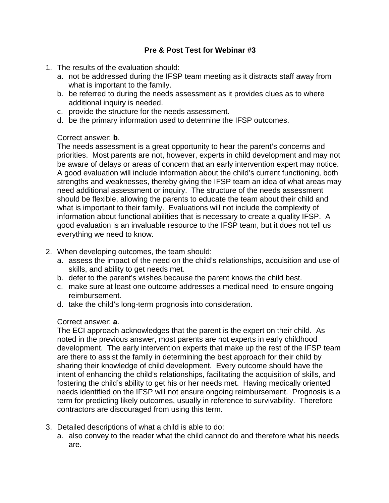# **Pre & Post Test for Webinar #3**

- 1. The results of the evaluation should:
	- a. not be addressed during the IFSP team meeting as it distracts staff away from what is important to the family.
	- b. be referred to during the needs assessment as it provides clues as to where additional inquiry is needed.
	- c. provide the structure for the needs assessment.
	- d. be the primary information used to determine the IFSP outcomes.

# Correct answer: **b**.

The needs assessment is a great opportunity to hear the parent's concerns and priorities. Most parents are not, however, experts in child development and may not be aware of delays or areas of concern that an early intervention expert may notice. A good evaluation will include information about the child's current functioning, both strengths and weaknesses, thereby giving the IFSP team an idea of what areas may need additional assessment or inquiry. The structure of the needs assessment should be flexible, allowing the parents to educate the team about their child and what is important to their family. Evaluations will not include the complexity of information about functional abilities that is necessary to create a quality IFSP. A good evaluation is an invaluable resource to the IFSP team, but it does not tell us everything we need to know.

- 2. When developing outcomes, the team should:
	- a. assess the impact of the need on the child's relationships, acquisition and use of skills, and ability to get needs met.
	- b. defer to the parent's wishes because the parent knows the child best.
	- c. make sure at least one outcome addresses a medical need to ensure ongoing reimbursement.
	- d. take the child's long-term prognosis into consideration.

# Correct answer: **a**.

The ECI approach acknowledges that the parent is the expert on their child. As noted in the previous answer, most parents are not experts in early childhood development. The early intervention experts that make up the rest of the IFSP team are there to assist the family in determining the best approach for their child by sharing their knowledge of child development. Every outcome should have the intent of enhancing the child's relationships, facilitating the acquisition of skills, and fostering the child's ability to get his or her needs met. Having medically oriented needs identified on the IFSP will not ensure ongoing reimbursement. Prognosis is a term for predicting likely outcomes, usually in reference to survivability. Therefore contractors are discouraged from using this term.

- 3. Detailed descriptions of what a child is able to do:
	- a. also convey to the reader what the child cannot do and therefore what his needs are.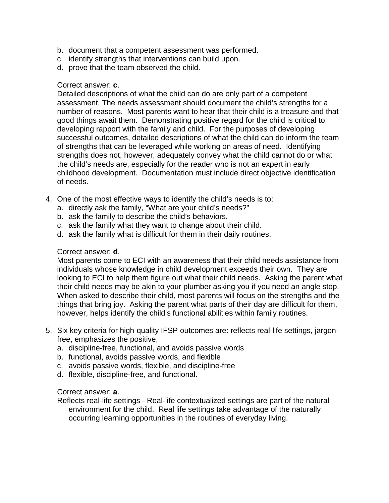- b. document that a competent assessment was performed.
- c. identify strengths that interventions can build upon.
- d. prove that the team observed the child.

### Correct answer: **c**.

Detailed descriptions of what the child can do are only part of a competent assessment. The needs assessment should document the child's strengths for a number of reasons. Most parents want to hear that their child is a treasure and that good things await them. Demonstrating positive regard for the child is critical to developing rapport with the family and child. For the purposes of developing successful outcomes, detailed descriptions of what the child can do inform the team of strengths that can be leveraged while working on areas of need. Identifying strengths does not, however, adequately convey what the child cannot do or what the child's needs are, especially for the reader who is not an expert in early childhood development. Documentation must include direct objective identification of needs.

- 4. One of the most effective ways to identify the child's needs is to:
	- a. directly ask the family, "What are your child's needs?"
	- b. ask the family to describe the child's behaviors.
	- c. ask the family what they want to change about their child.
	- d. ask the family what is difficult for them in their daily routines.

### Correct answer: **d**.

Most parents come to ECI with an awareness that their child needs assistance from individuals whose knowledge in child development exceeds their own. They are looking to ECI to help them figure out what their child needs. Asking the parent what their child needs may be akin to your plumber asking you if you need an angle stop. When asked to describe their child, most parents will focus on the strengths and the things that bring joy. Asking the parent what parts of their day are difficult for them, however, helps identify the child's functional abilities within family routines.

- 5. Six key criteria for high-quality IFSP outcomes are: reflects real-life settings, jargonfree, emphasizes the positive,
	- a. discipline-free, functional, and avoids passive words
	- b. functional, avoids passive words, and flexible
	- c. avoids passive words, flexible, and discipline-free
	- d. flexible, discipline-free, and functional.

### Correct answer: **a**.

Reflects real-life settings - Real-life contextualized settings are part of the natural environment for the child. Real life settings take advantage of the naturally occurring learning opportunities in the routines of everyday living.